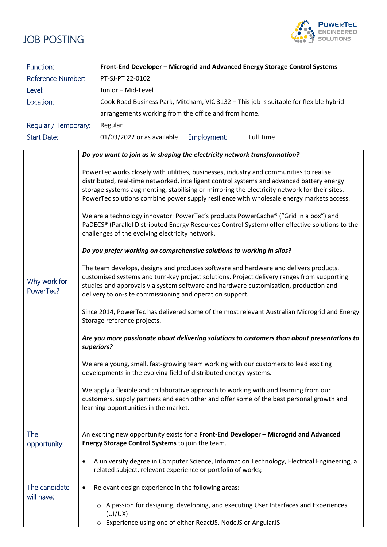

| Function:<br>Reference Number: | Front-End Developer - Microgrid and Advanced Energy Storage Control Systems<br>PT-SJ-PT 22-0102                                                                                                                                                                                                                                                                                  |
|--------------------------------|----------------------------------------------------------------------------------------------------------------------------------------------------------------------------------------------------------------------------------------------------------------------------------------------------------------------------------------------------------------------------------|
| Level:                         | Junior - Mid-Level                                                                                                                                                                                                                                                                                                                                                               |
| Location:                      | Cook Road Business Park, Mitcham, VIC 3132 - This job is suitable for flexible hybrid                                                                                                                                                                                                                                                                                            |
|                                | arrangements working from the office and from home.                                                                                                                                                                                                                                                                                                                              |
| Regular / Temporary:           | Regular                                                                                                                                                                                                                                                                                                                                                                          |
| <b>Start Date:</b>             | 01/03/2022 or as available<br><b>Full Time</b>                                                                                                                                                                                                                                                                                                                                   |
|                                | Employment:                                                                                                                                                                                                                                                                                                                                                                      |
|                                | Do you want to join us in shaping the electricity network transformation?                                                                                                                                                                                                                                                                                                        |
| Why work for<br>PowerTec?      | PowerTec works closely with utilities, businesses, industry and communities to realise<br>distributed, real-time networked, intelligent control systems and advanced battery energy<br>storage systems augmenting, stabilising or mirroring the electricity network for their sites.<br>PowerTec solutions combine power supply resilience with wholesale energy markets access. |
|                                | We are a technology innovator: PowerTec's products PowerCache® ("Grid in a box") and<br>PaDECS® (Parallel Distributed Energy Resources Control System) offer effective solutions to the<br>challenges of the evolving electricity network.                                                                                                                                       |
|                                | Do you prefer working on comprehensive solutions to working in silos?                                                                                                                                                                                                                                                                                                            |
|                                | The team develops, designs and produces software and hardware and delivers products,<br>customised systems and turn-key project solutions. Project delivery ranges from supporting<br>studies and approvals via system software and hardware customisation, production and<br>delivery to on-site commissioning and operation support.                                           |
|                                | Since 2014, PowerTec has delivered some of the most relevant Australian Microgrid and Energy<br>Storage reference projects.                                                                                                                                                                                                                                                      |
|                                | Are you more passionate about delivering solutions to customers than about presentations to<br>superiors?                                                                                                                                                                                                                                                                        |
|                                | We are a young, small, fast-growing team working with our customers to lead exciting<br>developments in the evolving field of distributed energy systems.                                                                                                                                                                                                                        |
|                                | We apply a flexible and collaborative approach to working with and learning from our<br>customers, supply partners and each other and offer some of the best personal growth and<br>learning opportunities in the market.                                                                                                                                                        |
| The<br>opportunity:            | An exciting new opportunity exists for a Front-End Developer - Microgrid and Advanced<br>Energy Storage Control Systems to join the team.                                                                                                                                                                                                                                        |
|                                | A university degree in Computer Science, Information Technology, Electrical Engineering, a<br>$\bullet$<br>related subject, relevant experience or portfolio of works;                                                                                                                                                                                                           |
| The candidate<br>will have:    | Relevant design experience in the following areas:                                                                                                                                                                                                                                                                                                                               |
|                                | A passion for designing, developing, and executing User Interfaces and Experiences<br>(UI/UX)                                                                                                                                                                                                                                                                                    |
|                                | Experience using one of either ReactJS, NodeJS or AngularJS<br>O                                                                                                                                                                                                                                                                                                                 |